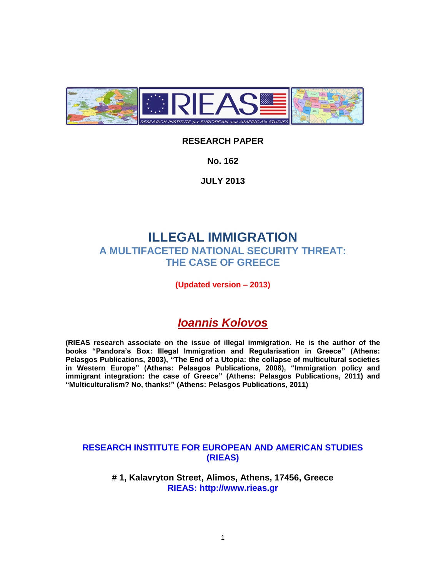

# **RESEARCH PAPER**

**No. 162**

**JULY 2013**

# **ILLEGAL IMMIGRATION A MULTIFACETED NATIONAL SECURITY THREAT: THE CASE OF GREECE**

**(Updated version – 2013)**

# *Ioannis Kolovos*

**(RIEAS research associate on the issue of illegal immigration. He is the author of the books "Pandora's Box: Illegal Immigration and Regularisation in Greece" (Athens: Pelasgos Publications, 2003), "The End of a Utopia: the collapse of multicultural societies in Western Europe" (Athens: Pelasgos Publications, 2008), "Immigration policy and immigrant integration: the case of Greece" (Athens: Pelasgos Publications, 2011) and "Multiculturalism? No, thanks!" (Athens: Pelasgos Publications, 2011)**

# **RESEARCH INSTITUTE FOR EUROPEAN AND AMERICAN STUDIES (RIEAS)**

**# 1, Kalavryton Street, Alimos, Athens, 17456, Greece RIEAS: http://www.rieas.gr**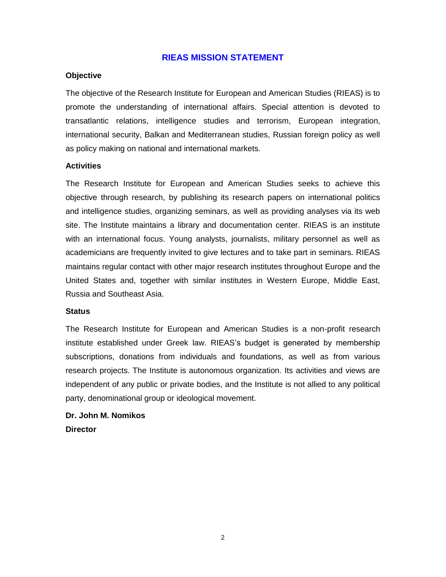### **RIEAS MISSION STATEMENT**

#### **Objective**

The objective of the Research Institute for European and American Studies (RIEAS) is to promote the understanding of international affairs. Special attention is devoted to transatlantic relations, intelligence studies and terrorism, European integration, international security, Balkan and Mediterranean studies, Russian foreign policy as well as policy making on national and international markets.

#### **Activities**

The Research Institute for European and American Studies seeks to achieve this objective through research, by publishing its research papers on international politics and intelligence studies, organizing seminars, as well as providing analyses via its web site. The Institute maintains a library and documentation center. RIEAS is an institute with an international focus. Young analysts, journalists, military personnel as well as academicians are frequently invited to give lectures and to take part in seminars. RIEAS maintains regular contact with other major research institutes throughout Europe and the United States and, together with similar institutes in Western Europe, Middle East, Russia and Southeast Asia.

#### **Status**

The Research Institute for European and American Studies is a non-profit research institute established under Greek law. RIEAS's budget is generated by membership subscriptions, donations from individuals and foundations, as well as from various research projects. The Institute is autonomous organization. Its activities and views are independent of any public or private bodies, and the Institute is not allied to any political party, denominational group or ideological movement.

# **Dr. John M. Nomikos Director**

2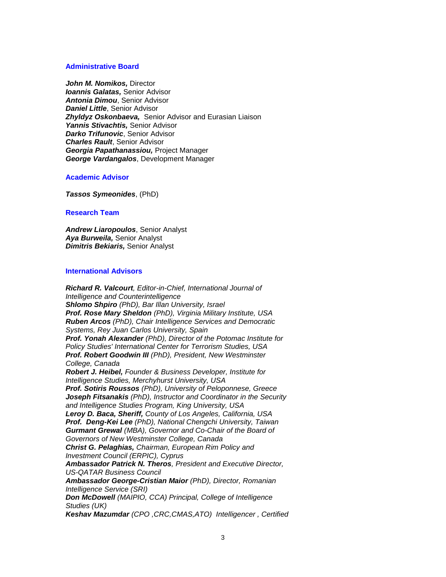#### **Administrative Board**

*[John M. Nomikos,](http://www.rieas.gr/about-us/organization/68.html)* Director *[Ioannis Galatas,](http://www.rieas.gr/about-us/organization/1219.html)* Senior Advisor *[Antonia Dimou](http://www.rieas.gr/about-us/organization/1902.html)*, Senior Advisor *[Daniel Little](http://www.rieas.gr/about-us/organization/1685.html)*, Senior Advisor *[Zhyldyz Oskonbaeva,](http://www.rieas.gr/about-us/organization/1686.html)* Senior Advisor and Eurasian Liaison *[Yannis Stivachtis,](http://www.rieas.gr/about-us/organization/886.html)* Senior Advisor *[Darko Trifunovic](http://www.rieas.gr/about-us/organization/336.html)*, Senior Advisor *[Charles Rault](http://www.rieas.gr/about-us/organization/335.html)*, Senior Advisor *[Georgia Papathanassiou,](http://www.rieas.gr/about-us/organization/1612.html)* Project Manager *[George Vardangalos](http://www.rieas.gr/about-us/organization/1674.html)*, Development Manager

#### **Academic Advisor**

*[Tassos Symeonides](http://www.rieas.gr/about-us/organization/1716.html)*, (PhD)

#### **Research Team**

*[Andrew Liaropoulos](http://www.rieas.gr/about-us/organization/61.html)*, Senior Analyst *[Aya Burweila,](http://www.rieas.gr/about-us/organization/361.html)* Senior Analyst *[Dimitris Bekiaris,](http://www.rieas.gr/about-us/organization/1274.html)* Senior Analyst

#### **International Advisors**

*Richard R. Valcourt, Editor-in-Chief, International Journal of Intelligence and Counterintelligence Shlomo Shpiro (PhD), Bar Illan University, Israel Prof. Rose Mary Sheldon (PhD), Virginia Military Institute, USA Ruben Arcos (PhD), Chair Intelligence Services and Democratic Systems, Rey Juan Carlos University, Spain Prof. Yonah Alexander (PhD), Director of the Potomac Institute for Policy Studies' International Center for Terrorism Studies, USA Prof. Robert Goodwin III (PhD), President, New Westminster College, Canada Robert J. Heibel, Founder & Business Developer, Institute for Intelligence Studies, Merchyhurst University, USA Prof. Sotiris Roussos (PhD), University of Peloponnese, Greece Joseph Fitsanakis (PhD), Instructor and Coordinator in the Security and Intelligence Studies Program, King University, USA Leroy D. Baca, Sheriff, County of Los Angeles, California, USA Prof. Deng-Kei Lee (PhD), National Chengchi University, Taiwan Gurmant Grewal (MBA), Governor and Co-Chair of the Board of Governors of New Westminster College, Canada Christ G. Pelaghias, Chairman, European Rim Policy and Investment Council (ERPIC), Cyprus Ambassador Patrick N. Theros, President and Executive Director, US-QATAR Business Council Ambassador George-Cristian Maior (PhD), Director, Romanian Intelligence Service (SRI) Don McDowell (MAIPIO, CCA) Principal, College of Intelligence Studies (UK) Keshav Mazumdar (CPO ,CRC,CMAS,ATO) Intelligencer , Certified*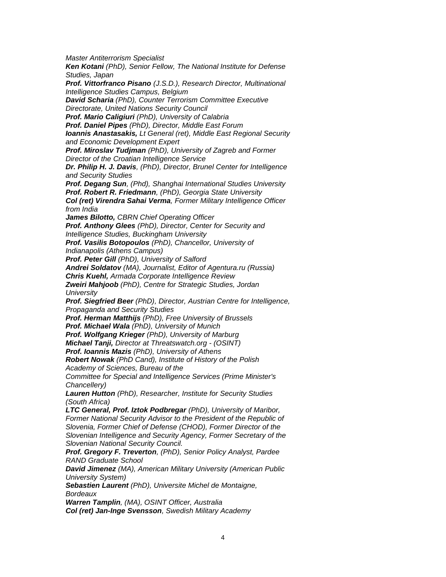*Master Antiterrorism Specialist Ken Kotani (PhD), Senior Fellow, The National Institute for Defense Studies, Japan Prof. Vittorfranco Pisano (J.S.D.), Research Director, Multinational Intelligence Studies Campus, Belgium David Scharia (PhD), Counter Terrorism Committee Executive Directorate, United Nations Security Council Prof. Mario Caligiuri (PhD), University of Calabria Prof. Daniel Pipes (PhD), Director, Middle East Forum Ioannis Anastasakis, Lt General (ret), Middle East Regional Security and Economic Development Expert Prof. Miroslav Tudjman (PhD), University of Zagreb and Former Director of the Croatian Intelligence Service Dr. Philip H. J. Davis, (PhD), Director, Brunel Center for Intelligence and Security Studies Prof. Degang Sun, (Phd), Shanghai International Studies University Prof. Robert R. Friedmann, (PhD), Georgia State University Col (ret) Virendra Sahai Verma, Former Military Intelligence Officer from India James Bilotto, CBRN Chief Operating Officer Prof. Anthony Glees (PhD), Director, Center for Security and Intelligence Studies, Buckingham University Prof. Vasilis Botopoulos (PhD), Chancellor, University of Indianapolis (Athens Campus) Prof. Peter Gill (PhD), University of Salford Andrei Soldatov (MA), Journalist, Editor of Agentura.ru (Russia) Chris Kuehl, Armada Corporate Intelligence Review Zweiri Mahjoob (PhD), Centre for Strategic Studies, Jordan University Prof. Siegfried Beer (PhD), Director, Austrian Centre for Intelligence, Propaganda and Security Studies Prof. Herman Matthijs (PhD), Free University of Brussels Prof. Michael Wala (PhD), University of Munich Prof. Wolfgang Krieger (PhD), University of Marburg Michael Tanji, Director at Threatswatch.org - (OSINT) Prof. Ioannis Mazis (PhD), University of Athens Robert Nowak (PhD Cand), Institute of History of the Polish Academy of Sciences, Bureau of the Committee for Special and Intelligence Services (Prime Minister's Chancellery) Lauren Hutton (PhD), Researcher, Institute for Security Studies (South Africa) LTC General, Prof. Iztok Podbregar (PhD), University of Maribor, Former National Security Advisor to the President of the Republic of Slovenia, Former Chief of Defense (CHOD), Former Director of the Slovenian Intelligence and Security Agency, Former Secretary of the Slovenian National Security Council. Prof. Gregory F. Treverton, (PhD), Senior Policy Analyst, Pardee RAND Graduate School David Jimenez (MA), American Military University (American Public University System) Sebastien Laurent (PhD), Universite Michel de Montaigne, Bordeaux Warren Tamplin, (MA), OSINT Officer, Australia Col (ret) Jan-Inge Svensson, Swedish Military Academy*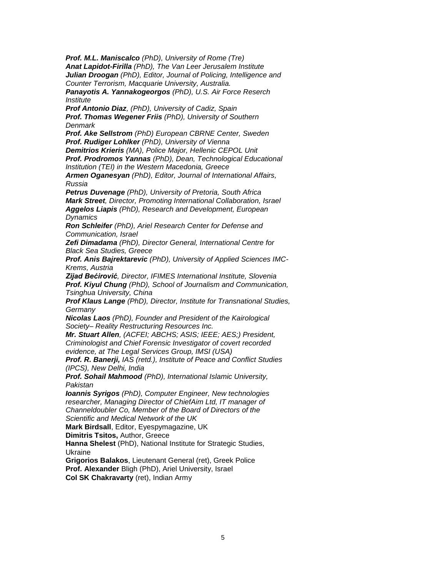*Prof. M.L. Maniscalco (PhD), University of Rome (Tre) Anat Lapidot-Firilla (PhD), The Van Leer Jerusalem Institute Julian Droogan (PhD), Editor, Journal of Policing, Intelligence and Counter Terrorism, Macquarie University, Australia.*

*Panayotis A. Yannakogeorgos (PhD), U.S. Air Force Reserch Institute* 

*Prof Antonio Diaz, (PhD), University of Cadiz, Spain Prof. Thomas Wegener Friis (PhD), University of Southern Denmark*

*Prof. Ake Sellstrom (PhD) European CBRNE Center, Sweden Prof. Rudiger Lohlker (PhD), University of Vienna*

*Demitrios Krieris (MA), Police Major, Hellenic CEPOL Unit*

*Prof. Prodromos Yannas (PhD), Dean, Technological Educational Institution (TEI) in the Western Macedonia, Greece*

*Armen Oganesyan (PhD), Editor, Journal of International Affairs, Russia*

*Petrus Duvenage (PhD), University of Pretoria, South Africa Mark Street, Director, Promoting International Collaboration, Israel Aggelos Liapis (PhD), Research and Development, European Dynamics*

*Ron Schleifer (PhD), Ariel Research Center for Defense and Communication, Israel*

*Zefi Dimadama (PhD), Director General, International Centre for Black Sea Studies, Greece*

*Prof. Anis Bajrektarevic (PhD), University of Applied Sciences IMC-Krems, Austria*

*Zijad Bećirović, Director, IFIMES International Institute, Slovenia*

*Prof. Kiyul Chung (PhD), School of Journalism and Communication, Tsinghua University, China*

*Prof Klaus Lange (PhD), Director, Institute for Transnational Studies, Germany*

*Nicolas Laos (PhD), Founder and President of the Kairological Society– Reality Restructuring Resources Inc.*

*Mr. Stuart Allen, (ACFEI; ABCHS; ASIS; IEEE; AES;) President, Criminologist and Chief Forensic Investigator of covert recorded evidence, at The Legal Services Group, IMSI (USA)*

*Prof. R. Banerji, IAS (retd.), Institute of Peace and Conflict Studies (IPCS), New Delhi, India* 

*Prof. Sohail Mahmood (PhD), International Islamic University, Pakistan*

*Ioannis Syrigos (PhD), Computer Engineer, New technologies researcher, Managing Director of ChiefAim Ltd, IT manager of Channeldoubler Co, Member of the Board of Directors of the Scientific and Medical Network of the UK*

**Mark Birdsall**, Editor, Eyespymagazine, UK

**Dimitris Tsitos,** Author, Greece

**Hanna Shelest** (PhD), National Institute for Strategic Studies, Ukraine

**Grigorios Balakos**, Lieutenant General (ret), Greek Police

**Prof. Alexander** Bligh (PhD), Ariel University, Israel

**Col SK Chakravarty** (ret), Indian Army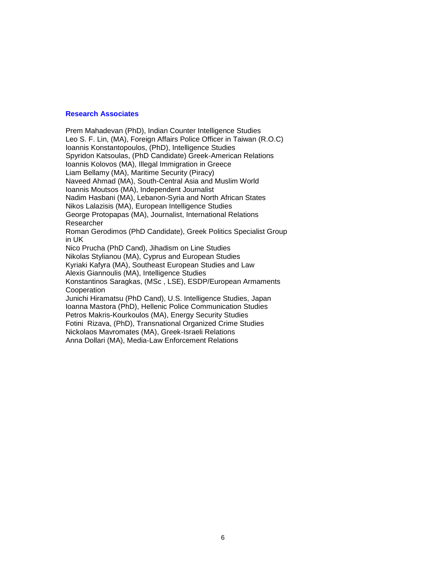#### **Research Associates**

Prem Mahadevan (PhD), Indian Counter Intelligence Studies Leo S. F. Lin, (MA), Foreign Affairs Police Officer in Taiwan (R.O.C) Ioannis Konstantopoulos, (PhD), Intelligence Studies Spyridon Katsoulas, (PhD Candidate) Greek-American Relations Ioannis Kolovos (MA), Illegal Immigration in Greece Liam Bellamy (MA), Maritime Security (Piracy) Naveed Ahmad (MA), South-Central Asia and Muslim World Ioannis Moutsos (MA), Independent Journalist Nadim Hasbani (MA), Lebanon-Syria and North African States Nikos Lalazisis (MA), European Intelligence Studies George Protopapas (MA), Journalist, International Relations Researcher Roman Gerodimos (PhD Candidate), Greek Politics Specialist Group in UK Nico Prucha (PhD Cand), Jihadism on Line Studies Nikolas Stylianou (MA), Cyprus and European Studies Kyriaki Kafyra (MA), Southeast European Studies and Law Alexis Giannoulis (MA), Intelligence Studies

Konstantinos Saragkas, (MSc , LSE), ESDP/European Armaments **Cooperation** 

Junichi Hiramatsu (PhD Cand), U.S. Intelligence Studies, Japan Ioanna Mastora (PhD), Hellenic Police Communication Studies Petros Makris-Kourkoulos (MA), Energy Security Studies Fotini Rizava, (PhD), Transnational Organized Crime Studies Nickolaos Mavromates (MA), Greek-Israeli Relations Anna Dollari (MA), Media-Law Enforcement Relations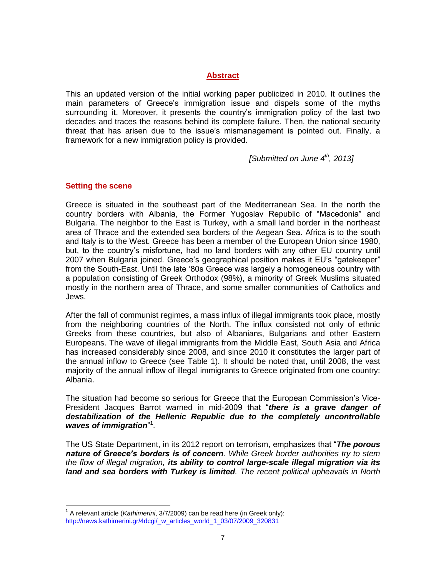### **Abstract**

This an updated version of the initial working paper publicized in 2010. It outlines the main parameters of Greece's immigration issue and dispels some of the myths surrounding it. Moreover, it presents the country's immigration policy of the last two decades and traces the reasons behind its complete failure. Then, the national security threat that has arisen due to the issue's mismanagement is pointed out. Finally, a framework for a new immigration policy is provided.

*[Submitted on June 4th , 2013]*

### **Setting the scene**

 $\overline{a}$ 

Greece is situated in the southeast part of the Mediterranean Sea. In the north the country borders with Albania, the Former Yugoslav Republic of "Macedonia" and Bulgaria. The neighbor to the East is Turkey, with a small land border in the northeast area of Thrace and the extended sea borders of the Aegean Sea. Africa is to the south and Italy is to the West. Greece has been a member of the European Union since 1980, but, to the country's misfortune, had no land borders with any other EU country until 2007 when Bulgaria joined. Greece's geographical position makes it EU's "gatekeeper" from the South-East. Until the late '80s Greece was largely a homogeneous country with a population consisting of Greek Orthodox (98%), a minority of Greek Muslims situated mostly in the northern area of Thrace, and some smaller communities of Catholics and Jews.

After the fall of communist regimes, a mass influx of illegal immigrants took place, mostly from the neighboring countries of the North. The influx consisted not only of ethnic Greeks from these countries, but also of Albanians, Bulgarians and other Eastern Europeans. The wave of illegal immigrants from the Middle East, South Asia and Africa has increased considerably since 2008, and since 2010 it constitutes the larger part of the annual inflow to Greece (see Table 1). It should be noted that, until 2008, the vast majority of the annual inflow of illegal immigrants to Greece originated from one country: Albania.

The situation had become so serious for Greece that the European Commission's Vice-President Jacques Barrot warned in mid-2009 that "*there is a grave danger of destabilization of the Hellenic Republic due to the completely uncontrollable*  waves of *immigration*"<sup>1</sup>.

The US State Department, in its 2012 report on terrorism, emphasizes that "*The porous nature of Greece's borders is of concern. While Greek border authorities try to stem the flow of illegal migration, its ability to control large-scale illegal migration via its land and sea borders with Turkey is limited. The recent political upheavals in North* 

<sup>&</sup>lt;sup>1</sup> A relevant article (*Kathimerini*, 3/7/2009) can be read here (in Greek only): [http://news.kathimerini.gr/4dcgi/\\_w\\_articles\\_world\\_1\\_03/07/2009\\_320831](http://news.kathimerini.gr/4dcgi/_w_articles_world_1_03/07/2009_320831)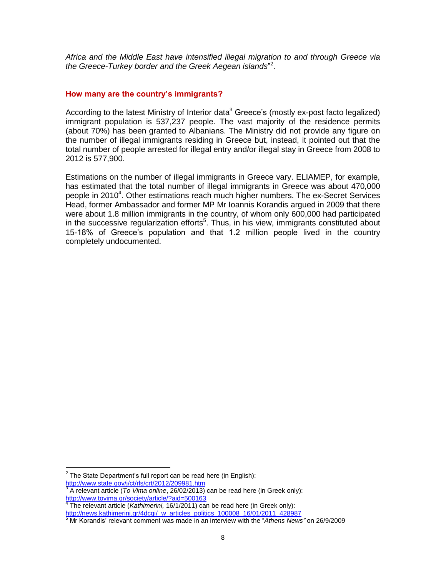*Africa and the Middle East have intensified illegal migration to and through Greece via the Greece-Turkey border and the Greek Aegean islands*" 2 .

#### **How many are the country's immigrants?**

According to the latest Ministry of Interior data<sup>3</sup> Greece's (mostly ex-post facto legalized) immigrant population is 537,237 people. The vast majority of the residence permits (about 70%) has been granted to Albanians. The Ministry did not provide any figure on the number of illegal immigrants residing in Greece but, instead, it pointed out that the total number of people arrested for illegal entry and/or illegal stay in Greece from 2008 to 2012 is 577,900.

Estimations on the number of illegal immigrants in Greece vary. ELIAMEP, for example, has estimated that the total number of illegal immigrants in Greece was about 470,000 people in 2010<sup>4</sup>. Other estimations reach much higher numbers. The ex-Secret Services Head, former Ambassador and former MP Mr Ioannis Korandis argued in 2009 that there were about 1.8 million immigrants in the country, of whom only 600,000 had participated in the successive regularization efforts<sup>5</sup>. Thus, in his view, immigrants constituted about 15-18% of Greece's population and that 1.2 million people lived in the country completely undocumented.

<sup>&</sup>lt;sup>2</sup> The State Department's full report can be read here (in English):

<http://www.state.gov/j/ct/rls/crt/2012/209981.htm><br>3. A relevent erticle (*Te Vime enline*, 26/02/2013)

A relevant article (*To Vima online*, 26/02/2013) can be read here (in Greek only): <http://www.tovima.gr/society/article/?aid=500163><br><sup>4</sup> The relevant erticle (Kothimerini, 16/1/2011).es

The relevant article (*Kathimerini,* 16/1/2011) can be read here (in Greek only): [http://news.kathimerini.gr/4dcgi/\\_w\\_articles\\_politics\\_100008\\_16/01/2011\\_428987](http://news.kathimerini.gr/4dcgi/_w_articles_politics_100008_16/01/2011_428987)

<sup>5</sup> Mr Korandis' relevant comment was made in an interview with the "*Athens News"* on 26/9/2009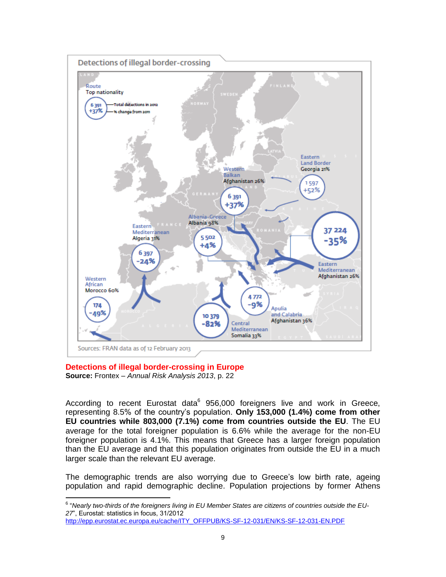

**Detections of illegal border-crossing in Europe Source:** Frontex – *Annual Risk Analysis 2013*, p. 22

According to recent Eurostat data<sup>6</sup> 956,000 foreigners live and work in Greece, representing 8.5% of the country's population. **Only 153,000 (1.4%) come from other EU countries while 803,000 (7.1%) come from countries outside the EU**. The EU average for the total foreigner population is 6.6% while the average for the non-EU foreigner population is 4.1%. This means that Greece has a larger foreign population than the EU average and that this population originates from outside the EU in a much larger scale than the relevant EU average.

The demographic trends are also worrying due to Greece's low birth rate, ageing population and rapid demographic decline. Population projections by former Athens

[http://epp.eurostat.ec.europa.eu/cache/ITY\\_OFFPUB/KS-SF-12-031/EN/KS-SF-12-031-EN.PDF](http://epp.eurostat.ec.europa.eu/cache/ITY_OFFPUB/KS-SF-12-031/EN/KS-SF-12-031-EN.PDF)

 6 "*Nearly two-thirds of the foreigners living in EU Member States are citizens of countries outside the EU-27*", Eurostat: statistics in focus, 31/2012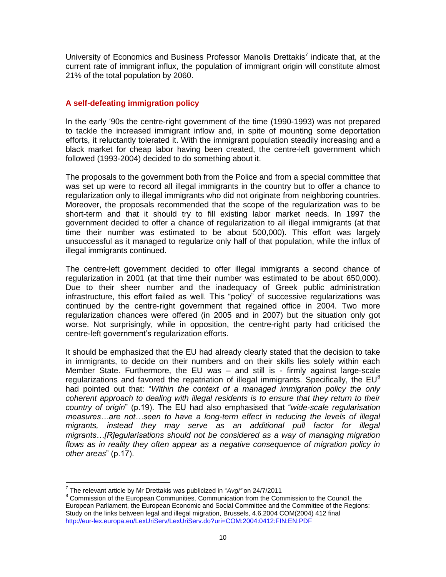University of Economics and Business Professor Manolis Drettakis<sup>7</sup> indicate that, at the current rate of immigrant influx, the population of immigrant origin will constitute almost 21% of the total population by 2060.

### **A self-defeating immigration policy**

In the early '90s the centre-right government of the time (1990-1993) was not prepared to tackle the increased immigrant inflow and, in spite of mounting some deportation efforts, it reluctantly tolerated it. With the immigrant population steadily increasing and a black market for cheap labor having been created, the centre-left government which followed (1993-2004) decided to do something about it.

The proposals to the government both from the Police and from a special committee that was set up were to record all illegal immigrants in the country but to offer a chance to regularization only to illegal immigrants who did not originate from neighboring countries. Moreover, the proposals recommended that the scope of the regularization was to be short-term and that it should try to fill existing labor market needs. In 1997 the government decided to offer a chance of regularization to all illegal immigrants (at that time their number was estimated to be about 500,000). This effort was largely unsuccessful as it managed to regularize only half of that population, while the influx of illegal immigrants continued.

The centre-left government decided to offer illegal immigrants a second chance of regularization in 2001 (at that time their number was estimated to be about 650,000). Due to their sheer number and the inadequacy of Greek public administration infrastructure, this effort failed as well. This "policy" of successive regularizations was continued by the centre-right government that regained office in 2004. Two more regularization chances were offered (in 2005 and in 2007) but the situation only got worse. Not surprisingly, while in opposition, the centre-right party had criticised the centre-left government's regularization efforts.

It should be emphasized that the EU had already clearly stated that the decision to take in immigrants, to decide on their numbers and on their skills lies solely within each Member State. Furthermore, the EU was – and still is - firmly against large-scale regularizations and favored the repatriation of illegal immigrants. Specifically, the  $EU^8$ had pointed out that: "*Within the context of a managed immigration policy the only coherent approach to dealing with illegal residents is to ensure that they return to their country of origin*" (p.19). The EU had also emphasised that "*wide-scale regularisation measures…are not…seen to have a long-term effect in reducing the levels of illegal migrants, instead they may serve as an additional pull factor for illegal migrants…[R]egularisations should not be considered as a way of managing migration*  flows as in reality they often appear as a negative consequence of migration policy in *other areas*" (p.17).

 7 The relevant article by Mr Drettakis was publicized in "*Avgi"* on 24/7/2011

<sup>&</sup>lt;sup>8</sup> Commission of the European Communities, Communication from the Commission to the Council, the European Parliament, the European Economic and Social Committee and the Committee of the Regions: Study on the links between legal and illegal migration, Brussels, 4.6.2004 COM(2004) 412 final <http://eur-lex.europa.eu/LexUriServ/LexUriServ.do?uri=COM:2004:0412:FIN:EN:PDF>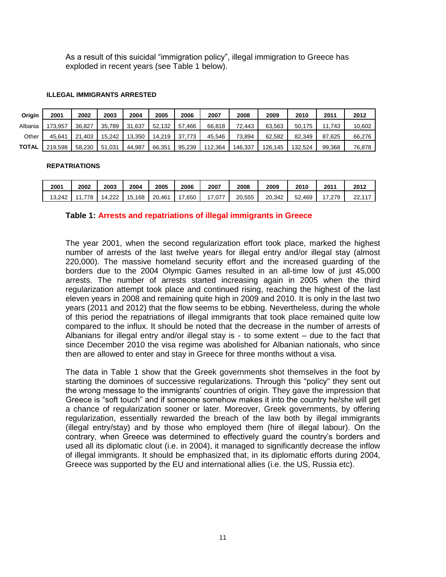As a result of this suicidal "immigration policy", illegal immigration to Greece has exploded in recent years (see Table 1 below).

#### **ILLEGAL IMMIGRANTS ARRESTED**

| Origin       | 2001    | 2002        | 2003   | 2004   | 2005   | 2006   | 2007    | 2008    | 2009    | 2010    | 2011   | 2012   |
|--------------|---------|-------------|--------|--------|--------|--------|---------|---------|---------|---------|--------|--------|
| Albania      | 173.957 | 36.827      | 35.789 | 31.637 | 52.132 | 57.466 | 66.818  | 72.443  | 63.563  | 50.175  | 11.743 | 10,602 |
| Other        | 45.641  | .403<br>21. | 15.242 | 13.350 | 14.219 | 37.773 | 45.546  | 73.894  | 62.582  | 82.349  | 87.625 | 66,276 |
| <b>TOTAL</b> | 219.598 | 58.230      | 51.031 | 44.987 | 66.351 | 95,239 | 112.364 | 146.337 | 126.145 | 132.524 | 99.368 | 76,878 |

#### **REPATRIATIONS**

| 2001   | 2002 | 2003          | 2004        | 2005   | 2006 | 2007 | 2008   | 2009   | 2010   | 201'          | 2012         |
|--------|------|---------------|-------------|--------|------|------|--------|--------|--------|---------------|--------------|
| 13.242 | 778  | າາາ<br>ے22∠14 | .168<br>15. | 20.461 | .650 | .077 | 20.555 | 20.342 | 52.469 | 279<br>$\sim$ | 22.117<br>∠∠ |

#### **Table 1: Arrests and repatriations of illegal immigrants in Greece**

The year 2001, when the second regularization effort took place, marked the highest number of arrests of the last twelve years for illegal entry and/or illegal stay (almost 220,000). The massive homeland security effort and the increased guarding of the borders due to the 2004 Olympic Games resulted in an all-time low of just 45,000 arrests. The number of arrests started increasing again in 2005 when the third regularization attempt took place and continued rising, reaching the highest of the last eleven years in 2008 and remaining quite high in 2009 and 2010. It is only in the last two years (2011 and 2012) that the flow seems to be ebbing. Nevertheless, during the whole of this period the repatriations of illegal immigrants that took place remained quite low compared to the influx. It should be noted that the decrease in the number of arrests of Albanians for illegal entry and/or illegal stay is - to some extent – due to the fact that since December 2010 the visa regime was abolished for Albanian nationals, who since then are allowed to enter and stay in Greece for three months without a visa.

The data in Table 1 show that the Greek governments shot themselves in the foot by starting the dominoes of successive regularizations. Through this "policy" they sent out the wrong message to the immigrants' countries of origin. They gave the impression that Greece is "soft touch" and if someone somehow makes it into the country he/she will get a chance of regularization sooner or later. Moreover, Greek governments, by offering regularization, essentially rewarded the breach of the law both by illegal immigrants (illegal entry/stay) and by those who employed them (hire of illegal labour). On the contrary, when Greece was determined to effectively guard the country's borders and used all its diplomatic clout (i.e. in 2004), it managed to significantly decrease the inflow of illegal immigrants. It should be emphasized that, in its diplomatic efforts during 2004, Greece was supported by the EU and international allies (i.e. the US, Russia etc).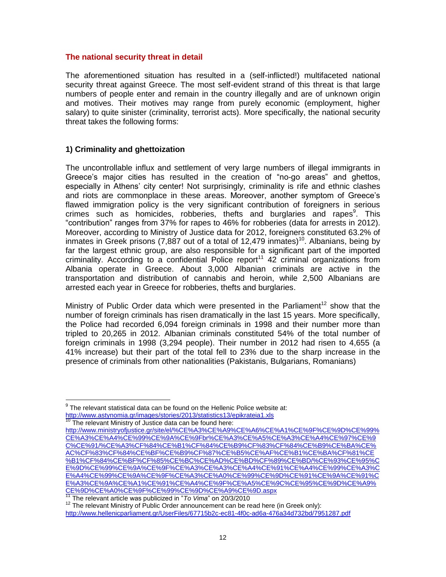#### **The national security threat in detail**

The aforementioned situation has resulted in a (self-inflicted!) multifaceted national security threat against Greece. The most self-evident strand of this threat is that large numbers of people enter and remain in the country illegally and are of unknown origin and motives. Their motives may range from purely economic (employment, higher salary) to quite sinister (criminality, terrorist acts). More specifically, the national security threat takes the following forms:

### **1) Criminality and ghettoization**

The uncontrollable influx and settlement of very large numbers of illegal immigrants in Greece's major cities has resulted in the creation of "no-go areas" and ghettos, especially in Athens' city center! Not surprisingly, criminality is rife and ethnic clashes and riots are commonplace in these areas. Moreover, another symptom of Greece's flawed immigration policy is the very significant contribution of foreigners in serious crimes such as homicides, robberies, thefts and burglaries and rapes<sup>9</sup>. This "contribution" ranges from 37% for rapes to 46% for robberies (data for arrests in 2012). Moreover, according to Ministry of Justice data for 2012, foreigners constituted 63.2% of inmates in Greek prisons (7,887 out of a total of 12,479 inmates)<sup>10</sup>. Albanians, being by far the largest ethnic group, are also responsible for a significant part of the imported criminality. According to a confidential Police report<sup>11</sup> 42 criminal organizations from Albania operate in Greece. About 3,000 Albanian criminals are active in the transportation and distribution of cannabis and heroin, while 2,500 Albanians are arrested each year in Greece for robberies, thefts and burglaries.

Ministry of Public Order data which were presented in the Parliament<sup>12</sup> show that the number of foreign criminals has risen dramatically in the last 15 years. More specifically, the Police had recorded 6,094 foreign criminals in 1998 and their number more than tripled to 20,265 in 2012. Albanian criminals constituted 54% of the total number of foreign criminals in 1998 (3,294 people). Their number in 2012 had risen to 4,655 (a 41% increase) but their part of the total fell to 23% due to the sharp increase in the presence of criminals from other nationalities (Pakistanis, Bulgarians, Romanians)

 $9$  The relevant statistical data can be found on the Hellenic Police website at: <http://www.astynomia.gr/images/stories/2013/statistics13/epikrateia1.xls>

<sup>&</sup>lt;sup>10</sup> The relevant Ministry of Justice data can be found here:

[http://www.ministryofjustice.gr/site/el/%CE%A3%CE%A9%CE%A6%CE%A1%CE%9F%CE%9D%CE%99%](http://www.ministryofjustice.gr/site/el/%CE%A3%CE%A9%CE%A6%CE%A1%CE%9F%CE%9D%CE%99%CE%A3%CE%A4%CE%99%CE%9A%CE%9Fbr%CE%A3%CE%A5%CE%A3%CE%A4%CE%97%CE%9C%CE%91/%CE%A3%CF%84%CE%B1%CF%84%CE%B9%CF%83%CF%84%CE%B9%CE%BA%CE%AC%CF%83%CF%84%CE%BF%CE%B9%CF%87%CE%B5%CE%AF%CE%B1%CE%BA%CF%81%CE%B1%CF%84%CE%BF%CF%85%CE%BC%CE%AD%CE%BD%CF%89%CE%BD/%CE%93%CE%95%CE%9D%CE%99%CE%9A%CE%9F%CE%A3%CE%A3%CE%A4%CE%91%CE%A4%CE%99%CE%A3%CE%A4%CE%99%CE%9A%CE%9F%CE%A3%CE%A0%CE%99%CE%9D%CE%91%CE%9A%CE%91%CE%A3%CE%9A%CE%A1%CE%91%CE%A4%CE%9F%CE%A5%CE%9C%CE%95%CE%9D%CE%A9%CE%9D%CE%A0%CE%9F%CE%99%CE%9D%CE%A9%CE%9D.aspx) [CE%A3%CE%A4%CE%99%CE%9A%CE%9Fbr%CE%A3%CE%A5%CE%A3%CE%A4%CE%97%CE%9](http://www.ministryofjustice.gr/site/el/%CE%A3%CE%A9%CE%A6%CE%A1%CE%9F%CE%9D%CE%99%CE%A3%CE%A4%CE%99%CE%9A%CE%9Fbr%CE%A3%CE%A5%CE%A3%CE%A4%CE%97%CE%9C%CE%91/%CE%A3%CF%84%CE%B1%CF%84%CE%B9%CF%83%CF%84%CE%B9%CE%BA%CE%AC%CF%83%CF%84%CE%BF%CE%B9%CF%87%CE%B5%CE%AF%CE%B1%CE%BA%CF%81%CE%B1%CF%84%CE%BF%CF%85%CE%BC%CE%AD%CE%BD%CF%89%CE%BD/%CE%93%CE%95%CE%9D%CE%99%CE%9A%CE%9F%CE%A3%CE%A3%CE%A4%CE%91%CE%A4%CE%99%CE%A3%CE%A4%CE%99%CE%9A%CE%9F%CE%A3%CE%A0%CE%99%CE%9D%CE%91%CE%9A%CE%91%CE%A3%CE%9A%CE%A1%CE%91%CE%A4%CE%9F%CE%A5%CE%9C%CE%95%CE%9D%CE%A9%CE%9D%CE%A0%CE%9F%CE%99%CE%9D%CE%A9%CE%9D.aspx) [C%CE%91/%CE%A3%CF%84%CE%B1%CF%84%CE%B9%CF%83%CF%84%CE%B9%CE%BA%CE%](http://www.ministryofjustice.gr/site/el/%CE%A3%CE%A9%CE%A6%CE%A1%CE%9F%CE%9D%CE%99%CE%A3%CE%A4%CE%99%CE%9A%CE%9Fbr%CE%A3%CE%A5%CE%A3%CE%A4%CE%97%CE%9C%CE%91/%CE%A3%CF%84%CE%B1%CF%84%CE%B9%CF%83%CF%84%CE%B9%CE%BA%CE%AC%CF%83%CF%84%CE%BF%CE%B9%CF%87%CE%B5%CE%AF%CE%B1%CE%BA%CF%81%CE%B1%CF%84%CE%BF%CF%85%CE%BC%CE%AD%CE%BD%CF%89%CE%BD/%CE%93%CE%95%CE%9D%CE%99%CE%9A%CE%9F%CE%A3%CE%A3%CE%A4%CE%91%CE%A4%CE%99%CE%A3%CE%A4%CE%99%CE%9A%CE%9F%CE%A3%CE%A0%CE%99%CE%9D%CE%91%CE%9A%CE%91%CE%A3%CE%9A%CE%A1%CE%91%CE%A4%CE%9F%CE%A5%CE%9C%CE%95%CE%9D%CE%A9%CE%9D%CE%A0%CE%9F%CE%99%CE%9D%CE%A9%CE%9D.aspx) [AC%CF%83%CF%84%CE%BF%CE%B9%CF%87%CE%B5%CE%AF%CE%B1%CE%BA%CF%81%CE](http://www.ministryofjustice.gr/site/el/%CE%A3%CE%A9%CE%A6%CE%A1%CE%9F%CE%9D%CE%99%CE%A3%CE%A4%CE%99%CE%9A%CE%9Fbr%CE%A3%CE%A5%CE%A3%CE%A4%CE%97%CE%9C%CE%91/%CE%A3%CF%84%CE%B1%CF%84%CE%B9%CF%83%CF%84%CE%B9%CE%BA%CE%AC%CF%83%CF%84%CE%BF%CE%B9%CF%87%CE%B5%CE%AF%CE%B1%CE%BA%CF%81%CE%B1%CF%84%CE%BF%CF%85%CE%BC%CE%AD%CE%BD%CF%89%CE%BD/%CE%93%CE%95%CE%9D%CE%99%CE%9A%CE%9F%CE%A3%CE%A3%CE%A4%CE%91%CE%A4%CE%99%CE%A3%CE%A4%CE%99%CE%9A%CE%9F%CE%A3%CE%A0%CE%99%CE%9D%CE%91%CE%9A%CE%91%CE%A3%CE%9A%CE%A1%CE%91%CE%A4%CE%9F%CE%A5%CE%9C%CE%95%CE%9D%CE%A9%CE%9D%CE%A0%CE%9F%CE%99%CE%9D%CE%A9%CE%9D.aspx) [%B1%CF%84%CE%BF%CF%85%CE%BC%CE%AD%CE%BD%CF%89%CE%BD/%CE%93%CE%95%C](http://www.ministryofjustice.gr/site/el/%CE%A3%CE%A9%CE%A6%CE%A1%CE%9F%CE%9D%CE%99%CE%A3%CE%A4%CE%99%CE%9A%CE%9Fbr%CE%A3%CE%A5%CE%A3%CE%A4%CE%97%CE%9C%CE%91/%CE%A3%CF%84%CE%B1%CF%84%CE%B9%CF%83%CF%84%CE%B9%CE%BA%CE%AC%CF%83%CF%84%CE%BF%CE%B9%CF%87%CE%B5%CE%AF%CE%B1%CE%BA%CF%81%CE%B1%CF%84%CE%BF%CF%85%CE%BC%CE%AD%CE%BD%CF%89%CE%BD/%CE%93%CE%95%CE%9D%CE%99%CE%9A%CE%9F%CE%A3%CE%A3%CE%A4%CE%91%CE%A4%CE%99%CE%A3%CE%A4%CE%99%CE%9A%CE%9F%CE%A3%CE%A0%CE%99%CE%9D%CE%91%CE%9A%CE%91%CE%A3%CE%9A%CE%A1%CE%91%CE%A4%CE%9F%CE%A5%CE%9C%CE%95%CE%9D%CE%A9%CE%9D%CE%A0%CE%9F%CE%99%CE%9D%CE%A9%CE%9D.aspx) [E%9D%CE%99%CE%9A%CE%9F%CE%A3%CE%A3%CE%A4%CE%91%CE%A4%CE%99%CE%A3%C](http://www.ministryofjustice.gr/site/el/%CE%A3%CE%A9%CE%A6%CE%A1%CE%9F%CE%9D%CE%99%CE%A3%CE%A4%CE%99%CE%9A%CE%9Fbr%CE%A3%CE%A5%CE%A3%CE%A4%CE%97%CE%9C%CE%91/%CE%A3%CF%84%CE%B1%CF%84%CE%B9%CF%83%CF%84%CE%B9%CE%BA%CE%AC%CF%83%CF%84%CE%BF%CE%B9%CF%87%CE%B5%CE%AF%CE%B1%CE%BA%CF%81%CE%B1%CF%84%CE%BF%CF%85%CE%BC%CE%AD%CE%BD%CF%89%CE%BD/%CE%93%CE%95%CE%9D%CE%99%CE%9A%CE%9F%CE%A3%CE%A3%CE%A4%CE%91%CE%A4%CE%99%CE%A3%CE%A4%CE%99%CE%9A%CE%9F%CE%A3%CE%A0%CE%99%CE%9D%CE%91%CE%9A%CE%91%CE%A3%CE%9A%CE%A1%CE%91%CE%A4%CE%9F%CE%A5%CE%9C%CE%95%CE%9D%CE%A9%CE%9D%CE%A0%CE%9F%CE%99%CE%9D%CE%A9%CE%9D.aspx) [E%A4%CE%99%CE%9A%CE%9F%CE%A3%CE%A0%CE%99%CE%9D%CE%91%CE%9A%CE%91%C](http://www.ministryofjustice.gr/site/el/%CE%A3%CE%A9%CE%A6%CE%A1%CE%9F%CE%9D%CE%99%CE%A3%CE%A4%CE%99%CE%9A%CE%9Fbr%CE%A3%CE%A5%CE%A3%CE%A4%CE%97%CE%9C%CE%91/%CE%A3%CF%84%CE%B1%CF%84%CE%B9%CF%83%CF%84%CE%B9%CE%BA%CE%AC%CF%83%CF%84%CE%BF%CE%B9%CF%87%CE%B5%CE%AF%CE%B1%CE%BA%CF%81%CE%B1%CF%84%CE%BF%CF%85%CE%BC%CE%AD%CE%BD%CF%89%CE%BD/%CE%93%CE%95%CE%9D%CE%99%CE%9A%CE%9F%CE%A3%CE%A3%CE%A4%CE%91%CE%A4%CE%99%CE%A3%CE%A4%CE%99%CE%9A%CE%9F%CE%A3%CE%A0%CE%99%CE%9D%CE%91%CE%9A%CE%91%CE%A3%CE%9A%CE%A1%CE%91%CE%A4%CE%9F%CE%A5%CE%9C%CE%95%CE%9D%CE%A9%CE%9D%CE%A0%CE%9F%CE%99%CE%9D%CE%A9%CE%9D.aspx) [E%A3%CE%9A%CE%A1%CE%91%CE%A4%CE%9F%CE%A5%CE%9C%CE%95%CE%9D%CE%A9%](http://www.ministryofjustice.gr/site/el/%CE%A3%CE%A9%CE%A6%CE%A1%CE%9F%CE%9D%CE%99%CE%A3%CE%A4%CE%99%CE%9A%CE%9Fbr%CE%A3%CE%A5%CE%A3%CE%A4%CE%97%CE%9C%CE%91/%CE%A3%CF%84%CE%B1%CF%84%CE%B9%CF%83%CF%84%CE%B9%CE%BA%CE%AC%CF%83%CF%84%CE%BF%CE%B9%CF%87%CE%B5%CE%AF%CE%B1%CE%BA%CF%81%CE%B1%CF%84%CE%BF%CF%85%CE%BC%CE%AD%CE%BD%CF%89%CE%BD/%CE%93%CE%95%CE%9D%CE%99%CE%9A%CE%9F%CE%A3%CE%A3%CE%A4%CE%91%CE%A4%CE%99%CE%A3%CE%A4%CE%99%CE%9A%CE%9F%CE%A3%CE%A0%CE%99%CE%9D%CE%91%CE%9A%CE%91%CE%A3%CE%9A%CE%A1%CE%91%CE%A4%CE%9F%CE%A5%CE%9C%CE%95%CE%9D%CE%A9%CE%9D%CE%A0%CE%9F%CE%99%CE%9D%CE%A9%CE%9D.aspx) [CE%9D%CE%A0%CE%9F%CE%99%CE%9D%CE%A9%CE%9D.aspx](http://www.ministryofjustice.gr/site/el/%CE%A3%CE%A9%CE%A6%CE%A1%CE%9F%CE%9D%CE%99%CE%A3%CE%A4%CE%99%CE%9A%CE%9Fbr%CE%A3%CE%A5%CE%A3%CE%A4%CE%97%CE%9C%CE%91/%CE%A3%CF%84%CE%B1%CF%84%CE%B9%CF%83%CF%84%CE%B9%CE%BA%CE%AC%CF%83%CF%84%CE%BF%CE%B9%CF%87%CE%B5%CE%AF%CE%B1%CE%BA%CF%81%CE%B1%CF%84%CE%BF%CF%85%CE%BC%CE%AD%CE%BD%CF%89%CE%BD/%CE%93%CE%95%CE%9D%CE%99%CE%9A%CE%9F%CE%A3%CE%A3%CE%A4%CE%91%CE%A4%CE%99%CE%A3%CE%A4%CE%99%CE%9A%CE%9F%CE%A3%CE%A0%CE%99%CE%9D%CE%91%CE%9A%CE%91%CE%A3%CE%9A%CE%A1%CE%91%CE%A4%CE%9F%CE%A5%CE%9C%CE%95%CE%9D%CE%A9%CE%9D%CE%A0%CE%9F%CE%99%CE%9D%CE%A9%CE%9D.aspx)

<sup>11</sup> The relevant article was publicized in "*To Vima*" on 20/3/2010

 $12$  The relevant Ministry of Public Order announcement can be read here (in Greek only): <http://www.hellenicparliament.gr/UserFiles/67715b2c-ec81-4f0c-ad6a-476a34d732bd/7951287.pdf>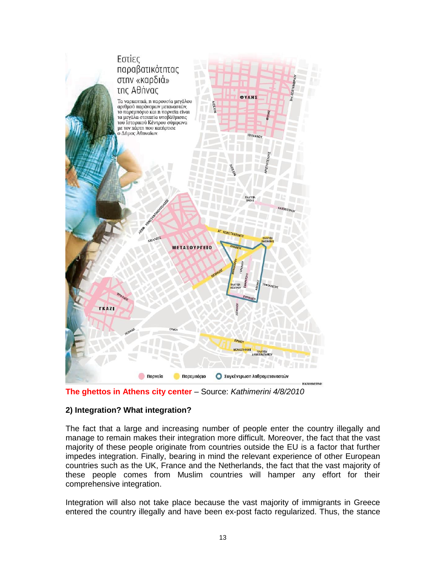



### **2) Integration? What integration?**

The fact that a large and increasing number of people enter the country illegally and manage to remain makes their integration more difficult. Moreover, the fact that the vast majority of these people originate from countries outside the EU is a factor that further impedes integration. Finally, bearing in mind the relevant experience of other European countries such as the UK, France and the Netherlands, the fact that the vast majority of these people comes from Muslim countries will hamper any effort for their comprehensive integration.

Integration will also not take place because the vast majority of immigrants in Greece entered the country illegally and have been ex-post facto regularized. Thus, the stance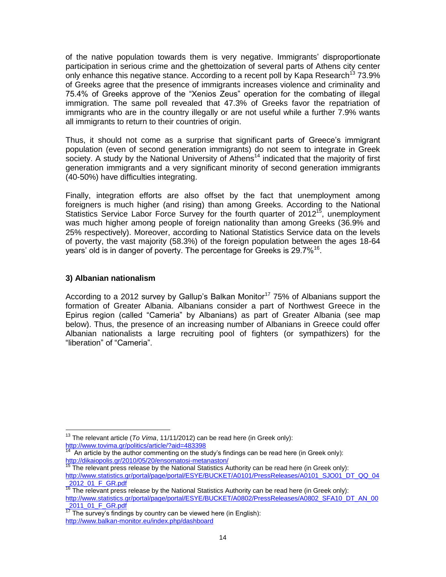of the native population towards them is very negative. Immigrants' disproportionate participation in serious crime and the ghettoization of several parts of Athens city center only enhance this negative stance. According to a recent poll by Kapa Research<sup>13</sup> 73.9% of Greeks agree that the presence of immigrants increases violence and criminality and 75.4% of Greeks approve of the "Xenios Zeus" operation for the combating of illegal immigration. The same poll revealed that 47.3% of Greeks favor the repatriation of immigrants who are in the country illegally or are not useful while a further 7.9% wants all immigrants to return to their countries of origin.

Thus, it should not come as a surprise that significant parts of Greece's immigrant population (even of second generation immigrants) do not seem to integrate in Greek society. A study by the National University of Athens<sup>14</sup> indicated that the majority of first generation immigrants and a very significant minority of second generation immigrants (40-50%) have difficulties integrating.

Finally, integration efforts are also offset by the fact that unemployment among foreigners is much higher (and rising) than among Greeks. According to the National Statistics Service Labor Force Survey for the fourth quarter of 2012<sup>15</sup>, unemployment was much higher among people of foreign nationality than among Greeks (36.9% and 25% respectively). Moreover, according to National Statistics Service data on the levels of poverty, the vast majority (58.3%) of the foreign population between the ages 18-64 years' old is in danger of poverty. The percentage for Greeks is 29.7%<sup>16</sup>.

### **3) Albanian nationalism**

 $\overline{a}$ 

According to a 2012 survey by Gallup's Balkan Monitor<sup>17</sup> 75% of Albanians support the formation of Greater Albania. Albanians consider a part of Northwest Greece in the Epirus region (called "Cameria" by Albanians) as part of Greater Albania (see map below). Thus, the presence of an increasing number of Albanians in Greece could offer Albanian nationalists a large recruiting pool of fighters (or sympathizers) for the "liberation" of "Cameria".

<sup>13</sup> The relevant article (*To Vima*, 11/11/2012) can be read here (in Greek only): <http://www.tovima.gr/politics/article/?aid=483398>

An article by the author commenting on the study's findings can be read here (in Greek only): <http://dikaiopolis.gr/2010/05/20/ensomatosi-metanaston/>

 $15$  The relevant press release by the National Statistics Authority can be read here (in Greek only): [http://www.statistics.gr/portal/page/portal/ESYE/BUCKET/A0101/PressReleases/A0101\\_SJO01\\_DT\\_QQ\\_04](http://www.statistics.gr/portal/page/portal/ESYE/BUCKET/A0101/PressReleases/A0101_SJO01_DT_QQ_04_2012_01_F_GR.pdf) [\\_2012\\_01\\_F\\_GR.pdf](http://www.statistics.gr/portal/page/portal/ESYE/BUCKET/A0101/PressReleases/A0101_SJO01_DT_QQ_04_2012_01_F_GR.pdf)

<sup>&</sup>lt;sup>2012</sup> The relevant press release by the National Statistics Authority can be read here (in Greek only): [http://www.statistics.gr/portal/page/portal/ESYE/BUCKET/A0802/PressReleases/A0802\\_SFA10\\_DT\\_AN\\_00](http://www.statistics.gr/portal/page/portal/ESYE/BUCKET/A0802/PressReleases/A0802_SFA10_DT_AN_00_2011_01_F_GR.pdf) [\\_2011\\_01\\_F\\_GR.pdf](http://www.statistics.gr/portal/page/portal/ESYE/BUCKET/A0802/PressReleases/A0802_SFA10_DT_AN_00_2011_01_F_GR.pdf)

 $\frac{120 + 121 + 121 + 121}{17}$  The survey's findings by country can be viewed here (in English): <http://www.balkan-monitor.eu/index.php/dashboard>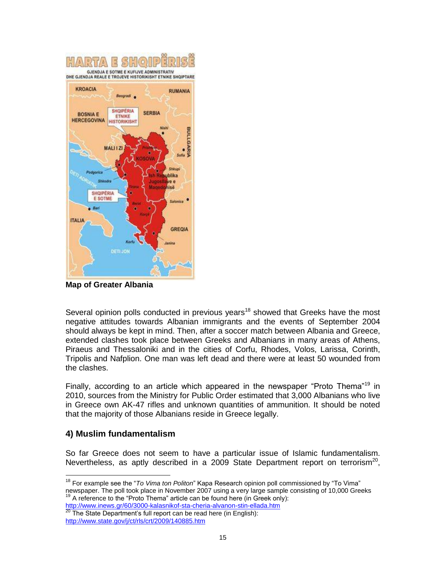

**Map of Greater Albania**

Several opinion polls conducted in previous years<sup>18</sup> showed that Greeks have the most negative attitudes towards Albanian immigrants and the events of September 2004 should always be kept in mind. Then, after a soccer match between Albania and Greece, extended clashes took place between Greeks and Albanians in many areas of Athens, Piraeus and Thessaloniki and in the cities of Corfu, Rhodes, Volos, Larissa, Corinth, Tripolis and Nafplion. One man was left dead and there were at least 50 wounded from the clashes.

Finally, according to an article which appeared in the newspaper "Proto Thema"<sup>19</sup> in 2010, sources from the Ministry for Public Order estimated that 3,000 Albanians who live in Greece own AK-47 rifles and unknown quantities of ammunition. It should be noted that the majority of those Albanians reside in Greece legally.

### **4) Muslim fundamentalism**

 $\overline{a}$ 

So far Greece does not seem to have a particular issue of Islamic fundamentalism. Nevertheless, as aptly described in a 2009 State Department report on terrorism<sup>20</sup>,

```
http://www.inews.gr/60/3000-kalasnikof-sta-cheria-alvanon-stin-ellada.htm
  The State Department's full report can be read here (in English):
http://www.state.gov/j/ct/rls/crt/2009/140885.htm
```
<sup>18</sup> For example see the "*To Vima ton Politon*" Kapa Research opinion poll commissioned by "To Vima" newspaper. The poll took place in November 2007 using a very large sample consisting of 10,000 Greeks  $19$  A reference to the "Proto Thema" article can be found here (in Greek only):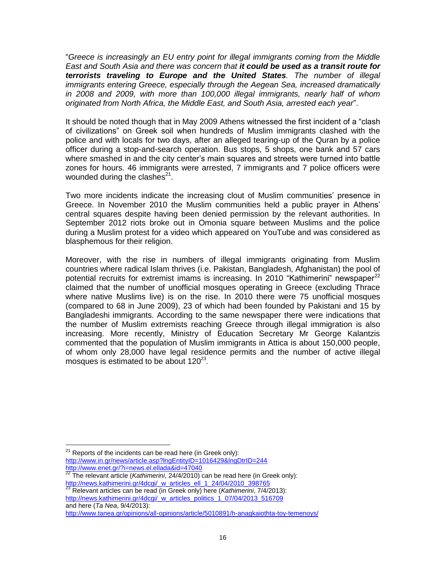"*Greece is increasingly an EU entry point for illegal immigrants coming from the Middle East and South Asia and there was concern that it could be used as a transit route for terrorists traveling to Europe and the United States. The number of illegal immigrants entering Greece, especially through the Aegean Sea, increased dramatically in 2008 and 2009, with more than 100,000 illegal immigrants, nearly half of whom originated from North Africa, the Middle East, and South Asia, arrested each year*".

It should be noted though that in May 2009 Athens witnessed the first incident of a "clash of civilizations" on Greek soil when hundreds of Muslim immigrants clashed with the police and with locals for two days, after an alleged tearing-up of the Quran by a police officer during a stop-and-search operation. Bus stops, 5 shops, one bank and 57 cars where smashed in and the city center's main squares and streets were turned into battle zones for hours. 46 immigrants were arrested, 7 immigrants and 7 police officers were wounded during the clashes $^{21}$ .

Two more incidents indicate the increasing clout of Muslim communities' presence in Greece. In November 2010 the Muslim communities held a public prayer in Athens' central squares despite having been denied permission by the relevant authorities. In September 2012 riots broke out in Omonia square between Muslims and the police during a Muslim protest for a video which appeared on YouTube and was considered as blasphemous for their religion.

Moreover, with the rise in numbers of illegal immigrants originating from Muslim countries where radical Islam thrives (i.e. Pakistan, Bangladesh, Afghanistan) the pool of potential recruits for extremist imams is increasing. In 2010 "Kathimerini" newspaper<sup>22</sup> claimed that the number of unofficial mosques operating in Greece (excluding Thrace where native Muslims live) is on the rise. In 2010 there were 75 unofficial mosques (compared to 68 in June 2009), 23 of which had been founded by Pakistani and 15 by Bangladeshi immigrants. According to the same newspaper there were indications that the number of Muslim extremists reaching Greece through illegal immigration is also increasing. More recently, Ministry of Education Secretary Mr George Kalantzis commented that the population of Muslim immigrants in Attica is about 150,000 people, of whom only 28,000 have legal residence permits and the number of active illegal mosques is estimated to be about  $120^{23}$ .

 $^{21}$  Reports of the incidents can be read here (in Greek only): <http://www.in.gr/news/article.asp?lngEntityID=1016429&lngDtrID=244> <http://www.enet.gr/?i=news.el.ellada&id=47040>

<sup>22</sup> The relevant article (*Kathimerini*, 24/4/2010) can be read here (in Greek only): [http://news.kathimerini.gr/4dcgi/\\_w\\_articles\\_ell\\_1\\_24/04/2010\\_398765](http://news.kathimerini.gr/4dcgi/_w_articles_ell_1_24/04/2010_398765)

<sup>23</sup> Relevant articles can be read (in Greek only) here (*Kathimerini*, 7/4/2013): [http://news.kathimerini.gr/4dcgi/\\_w\\_articles\\_politics\\_1\\_07/04/2013\\_516709](http://news.kathimerini.gr/4dcgi/_w_articles_politics_1_07/04/2013_516709) and here (*Ta Nea*, 9/4/2013):

<http://www.tanea.gr/opinions/all-opinions/article/5010891/h-anagkaiothta-toy-temenoys/>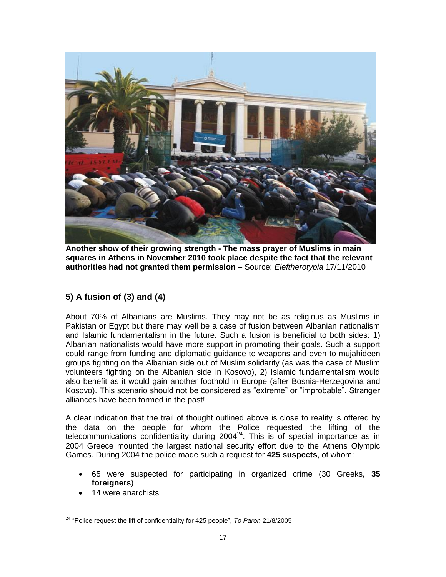

**Another show of their growing strength - The mass prayer of Muslims in main squares in Athens in November 2010 took place despite the fact that the relevant authorities had not granted them permission** – Source: *Eleftherotypia* 17/11/2010

# **5) A fusion of (3) and (4)**

About 70% of Albanians are Muslims. They may not be as religious as Muslims in Pakistan or Egypt but there may well be a case of fusion between Albanian nationalism and Islamic fundamentalism in the future. Such a fusion is beneficial to both sides: 1) Albanian nationalists would have more support in promoting their goals. Such a support could range from funding and diplomatic guidance to weapons and even to mujahideen groups fighting on the Albanian side out of Muslim solidarity (as was the case of Muslim volunteers fighting on the Albanian side in Kosovo), 2) Islamic fundamentalism would also benefit as it would gain another foothold in Europe (after Bosnia-Herzegovina and Kosovo). This scenario should not be considered as "extreme" or "improbable". Stranger alliances have been formed in the past!

A clear indication that the trail of thought outlined above is close to reality is offered by the data on the people for whom the Police requested the lifting of the telecommunications confidentiality during  $2004<sup>24</sup>$ . This is of special importance as in 2004 Greece mounted the largest national security effort due to the Athens Olympic Games. During 2004 the police made such a request for **425 suspects**, of whom:

- 65 were suspected for participating in organized crime (30 Greeks, **35 foreigners**)
- 14 were anarchists

 $\overline{a}$ <sup>24</sup> "Police request the lift of confidentiality for 425 people", *To Paron* 21/8/2005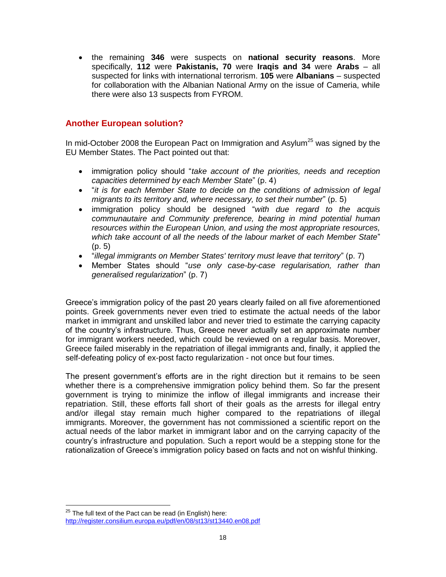the remaining **346** were suspects on **national security reasons**. More specifically, **112** were **Pakistanis, 70** were **Iraqis and 34** were **Arabs** – all suspected for links with international terrorism. **105** were **Albanians** – suspected for collaboration with the Albanian National Army on the issue of Cameria, while there were also 13 suspects from FYROM.

# **Another European solution?**

In mid-October 2008 the European Pact on Immigration and Asylum<sup>25</sup> was signed by the EU Member States. The Pact pointed out that:

- immigration policy should "*take account of the priorities, needs and reception capacities determined by each Member State*" (p. 4)
- "*it is for each Member State to decide on the conditions of admission of legal migrants to its territory and, where necessary, to set their number*" (p. 5)
- immigration policy should be designed "*with due regard to the acquis communautaire and Community preference, bearing in mind potential human resources within the European Union, and using the most appropriate resources, which take account of all the needs of the labour market of each Member State*" (p. 5)
- "*illegal immigrants on Member States' territory must leave that territory*" (p. 7)
- Member States should "*use only case-by-case regularisation, rather than generalised regularization*" (p. 7)

Greece's immigration policy of the past 20 years clearly failed on all five aforementioned points. Greek governments never even tried to estimate the actual needs of the labor market in immigrant and unskilled labor and never tried to estimate the carrying capacity of the country's infrastructure. Thus, Greece never actually set an approximate number for immigrant workers needed, which could be reviewed on a regular basis. Moreover, Greece failed miserably in the repatriation of illegal immigrants and, finally, it applied the self-defeating policy of ex-post facto regularization - not once but four times.

The present government's efforts are in the right direction but it remains to be seen whether there is a comprehensive immigration policy behind them. So far the present government is trying to minimize the inflow of illegal immigrants and increase their repatriation. Still, these efforts fall short of their goals as the arrests for illegal entry and/or illegal stay remain much higher compared to the repatriations of illegal immigrants. Moreover, the government has not commissioned a scientific report on the actual needs of the labor market in immigrant labor and on the carrying capacity of the country's infrastructure and population. Such a report would be a stepping stone for the rationalization of Greece's immigration policy based on facts and not on wishful thinking.

 $^{25}$  The full text of the Pact can be read (in English) here: <http://register.consilium.europa.eu/pdf/en/08/st13/st13440.en08.pdf>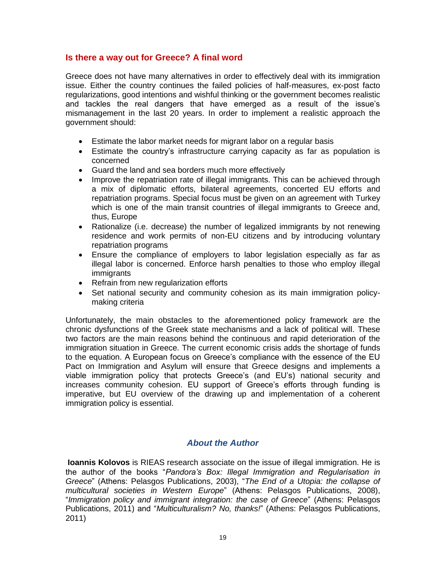### **Is there a way out for Greece? A final word**

Greece does not have many alternatives in order to effectively deal with its immigration issue. Either the country continues the failed policies of half-measures, ex-post facto regularizations, good intentions and wishful thinking or the government becomes realistic and tackles the real dangers that have emerged as a result of the issue's mismanagement in the last 20 years. In order to implement a realistic approach the government should:

- Estimate the labor market needs for migrant labor on a regular basis
- Estimate the country's infrastructure carrying capacity as far as population is concerned
- Guard the land and sea borders much more effectively
- Improve the repatriation rate of illegal immigrants. This can be achieved through a mix of diplomatic efforts, bilateral agreements, concerted EU efforts and repatriation programs. Special focus must be given on an agreement with Turkey which is one of the main transit countries of illegal immigrants to Greece and, thus, Europe
- Rationalize (i.e. decrease) the number of legalized immigrants by not renewing residence and work permits of non-EU citizens and by introducing voluntary repatriation programs
- Ensure the compliance of employers to labor legislation especially as far as illegal labor is concerned. Enforce harsh penalties to those who employ illegal immigrants
- Refrain from new regularization efforts
- Set national security and community cohesion as its main immigration policymaking criteria

Unfortunately, the main obstacles to the aforementioned policy framework are the chronic dysfunctions of the Greek state mechanisms and a lack of political will. These two factors are the main reasons behind the continuous and rapid deterioration of the immigration situation in Greece. The current economic crisis adds the shortage of funds to the equation. A European focus on Greece's compliance with the essence of the EU Pact on Immigration and Asylum will ensure that Greece designs and implements a viable immigration policy that protects Greece's (and EU's) national security and increases community cohesion. EU support of Greece's efforts through funding is imperative, but EU overview of the drawing up and implementation of a coherent immigration policy is essential.

### *About the Author*

**Ioannis Kolovos** is RIEAS research associate on the issue of illegal immigration. He is the author of the books "*Pandora's Box: Illegal Immigration and Regularisation in Greece*" (Athens: Pelasgos Publications, 2003), "*The End of a Utopia: the collapse of multicultural societies in Western Europe*" (Athens: Pelasgos Publications, 2008), "*Immigration policy and immigrant integration: the case of Greece*" (Athens: Pelasgos Publications, 2011) and "*Multiculturalism? No, thanks!*" (Athens: Pelasgos Publications, 2011)